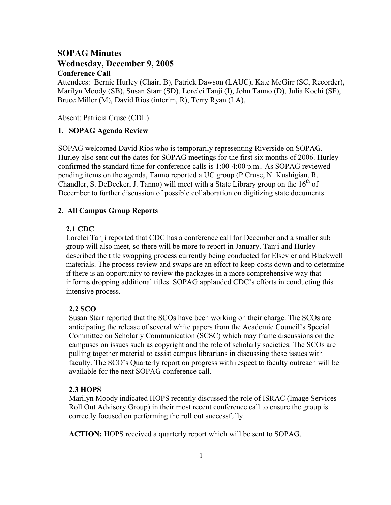# **SOPAG Minutes Wednesday, December 9, 2005 Conference Call**

Attendees: Bernie Hurley (Chair, B), Patrick Dawson (LAUC), Kate McGirr (SC, Recorder), Marilyn Moody (SB), Susan Starr (SD), Lorelei Tanji (I), John Tanno (D), Julia Kochi (SF), Bruce Miller (M), David Rios (interim, R), Terry Ryan (LA),

Absent: Patricia Cruse (CDL)

# **1. SOPAG Agenda Review**

SOPAG welcomed David Rios who is temporarily representing Riverside on SOPAG. Hurley also sent out the dates for SOPAG meetings for the first six months of 2006. Hurley confirmed the standard time for conference calls is 1:00-4:00 p.m.. As SOPAG reviewed pending items on the agenda, Tanno reported a UC group (P.Cruse, N. Kushigian, R. Chandler, S. DeDecker, J. Tanno) will meet with a State Library group on the  $16<sup>th</sup>$  of December to further discussion of possible collaboration on digitizing state documents.

### **2. All Campus Group Reports**

#### **2.1 CDC**

Lorelei Tanji reported that CDC has a conference call for December and a smaller sub group will also meet, so there will be more to report in January. Tanji and Hurley described the title swapping process currently being conducted for Elsevier and Blackwell materials. The process review and swaps are an effort to keep costs down and to determine if there is an opportunity to review the packages in a more comprehensive way that informs dropping additional titles. SOPAG applauded CDC's efforts in conducting this intensive process.

# **2.2 SCO**

Susan Starr reported that the SCOs have been working on their charge. The SCOs are anticipating the release of several white papers from the Academic Council's Special Committee on Scholarly Communication (SCSC) which may frame discussions on the campuses on issues such as copyright and the role of scholarly societies. The SCOs are pulling together material to assist campus librarians in discussing these issues with faculty. The SCO's Quarterly report on progress with respect to faculty outreach will be available for the next SOPAG conference call.

#### **2.3 HOPS**

Marilyn Moody indicated HOPS recently discussed the role of ISRAC (Image Services Roll Out Advisory Group) in their most recent conference call to ensure the group is correctly focused on performing the roll out successfully.

**ACTION:** HOPS received a quarterly report which will be sent to SOPAG.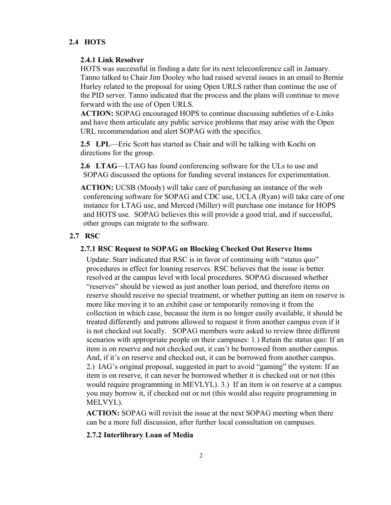# **2.4 HOTS**

#### **2.4.1 Link Resolver**

HOTS was successful in finding a date for its next teleconference call in January. Tanno talked to Chair Jim Dooley who had raised several issues in an email to Bernie Hurley related to the proposal for using Open URLS rather than continue the use of the PID server. Tanno indicated that the process and the plans will continue to move forward with the use of Open URLS.

**ACTION:** SOPAG encouraged HOPS to continue discussing subtleties of e-Links and have them articulate any public service problems that may arise with the Open URL recommendation and alert SOPAG with the specifics.

**2.5 LPL**—Eric Scott has started as Chair and will be talking with Kochi on directions for the group.

**2.6 LTAG**—LTAG has found conferencing software for the ULs to use and SOPAG discussed the options for funding several instances for experimentation.

**ACTION:** UCSB (Moody) will take care of purchasing an instance of the web conferencing software for SOPAG and CDC use, UCLA (Ryan) will take care of one instance for LTAG use, and Merced (Miller) will purchase one instance for HOPS and HOTS use. SOPAG believes this will provide a good trial, and if successful, other groups can migrate to the software.

# **2.7 RSC**

## **2.7.1 RSC Request to SOPAG on Blocking Checked Out Reserve Items**

Update: Starr indicated that RSC is in favor of continuing with "status quo" procedures in effect for loaning reserves. RSC believes that the issue is better resolved at the campus level with local procedures. SOPAG discussed whether "reserves" should be viewed as just another loan period, and therefore items on reserve should receive no special treatment, or whether putting an item on reserve is more like moving it to an exhibit case or temporarily removing it from the collection in which case, because the item is no longer easily available, it should be treated differently and patrons allowed to request it from another campus even if it is not checked out locally. SOPAG members were asked to review three different scenarios with appropriate people on their campuses: 1.) Retain the status quo: If an item is on reserve and not checked out, it can't be borrowed from another campus. And, if it's on reserve and checked out, it can be borrowed from another campus. 2.) IAG's original proposal, suggested in part to avoid "gaming" the system: If an item is on reserve, it can never be borrowed whether it is checked out or not (this would require programming in MEVLYL). 3.) If an item is on reserve at a campus you may borrow it, if checked out or not (this would also require programming in MELVYL).

**ACTION:** SOPAG will revisit the issue at the next SOPAG meeting when there can be a more full discussion, after further local consultation on campuses.

# **2.7.2 Interlibrary Loan of Media**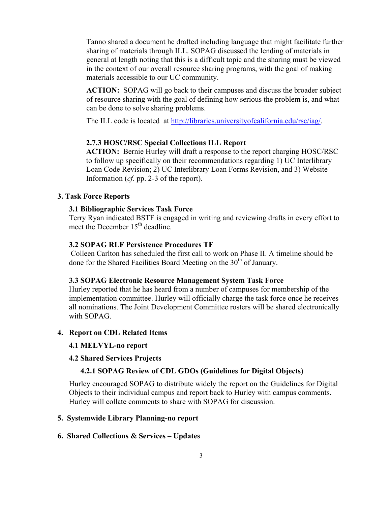Tanno shared a document he drafted including language that might facilitate further sharing of materials through ILL. SOPAG discussed the lending of materials in general at length noting that this is a difficult topic and the sharing must be viewed in the context of our overall resource sharing programs, with the goal of making materials accessible to our UC community.

**ACTION:** SOPAG will go back to their campuses and discuss the broader subject of resource sharing with the goal of defining how serious the problem is, and what can be done to solve sharing problems.

The ILL code is located at [http://libraries.universityofcalifornia.edu/rsc/iag/.](http://libraries.universityofcalifornia.edu/rsc/iag/)

#### **2.7.3 HOSC/RSC Special Collections ILL Report**

**ACTION:** Bernie Hurley will draft a response to the report charging HOSC/RSC to follow up specifically on their recommendations regarding 1) UC Interlibrary Loan Code Revision; 2) UC Interlibrary Loan Forms Revision, and 3) Website Information (*cf*. pp. 2-3 of the report).

# **3. Task Force Reports**

### **3.1 Bibliographic Services Task Force**

Terry Ryan indicated BSTF is engaged in writing and reviewing drafts in every effort to meet the December 15<sup>th</sup> deadline.

#### **3.2 SOPAG RLF Persistence Procedures TF**

 Colleen Carlton has scheduled the first call to work on Phase II. A timeline should be done for the Shared Facilities Board Meeting on the 30<sup>th</sup> of January.

### **3.3 SOPAG Electronic Resource Management System Task Force**

Hurley reported that he has heard from a number of campuses for membership of the implementation committee. Hurley will officially charge the task force once he receives all nominations. The Joint Development Committee rosters will be shared electronically with SOPAG.

#### **4. Report on CDL Related Items**

### **4.1 MELVYL-no report**

#### **4.2 Shared Services Projects**

### **4.2.1 SOPAG Review of CDL GDOs (Guidelines for Digital Objects)**

Hurley encouraged SOPAG to distribute widely the report on the Guidelines for Digital Objects to their individual campus and report back to Hurley with campus comments. Hurley will collate comments to share with SOPAG for discussion.

#### **5. Systemwide Library Planning-no report**

#### **6. Shared Collections & Services – Updates**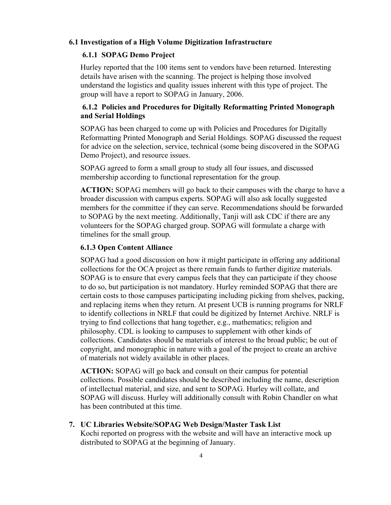# **6.1 Investigation of a High Volume Digitization Infrastructure**

### **6.1.1 SOPAG Demo Project**

Hurley reported that the 100 items sent to vendors have been returned. Interesting details have arisen with the scanning. The project is helping those involved understand the logistics and quality issues inherent with this type of project. The group will have a report to SOPAG in January, 2006.

# **6.1.2 Policies and Procedures for Digitally Reformatting Printed Monograph and Serial Holdings**

SOPAG has been charged to come up with Policies and Procedures for Digitally Reformatting Printed Monograph and Serial Holdings. SOPAG discussed the request for advice on the selection, service, technical (some being discovered in the SOPAG Demo Project), and resource issues.

SOPAG agreed to form a small group to study all four issues, and discussed membership according to functional representation for the group.

**ACTION:** SOPAG members will go back to their campuses with the charge to have a broader discussion with campus experts. SOPAG will also ask locally suggested members for the committee if they can serve. Recommendations should be forwarded to SOPAG by the next meeting. Additionally, Tanji will ask CDC if there are any volunteers for the SOPAG charged group. SOPAG will formulate a charge with timelines for the small group.

#### **6.1.3 Open Content Alliance**

SOPAG had a good discussion on how it might participate in offering any additional collections for the OCA project as there remain funds to further digitize materials. SOPAG is to ensure that every campus feels that they can participate if they choose to do so, but participation is not mandatory. Hurley reminded SOPAG that there are certain costs to those campuses participating including picking from shelves, packing, and replacing items when they return. At present UCB is running programs for NRLF to identify collections in NRLF that could be digitized by Internet Archive. NRLF is trying to find collections that hang together, e.g., mathematics; religion and philosophy. CDL is looking to campuses to supplement with other kinds of collections. Candidates should be materials of interest to the broad public; be out of copyright, and monographic in nature with a goal of the project to create an archive of materials not widely available in other places.

**ACTION:** SOPAG will go back and consult on their campus for potential collections. Possible candidates should be described including the name, description of intellectual material, and size, and sent to SOPAG. Hurley will collate, and SOPAG will discuss. Hurley will additionally consult with Robin Chandler on what has been contributed at this time.

**7. UC Libraries Website/SOPAG Web Design/Master Task List**  Kochi reported on progress with the website and will have an interactive mock up

distributed to SOPAG at the beginning of January.